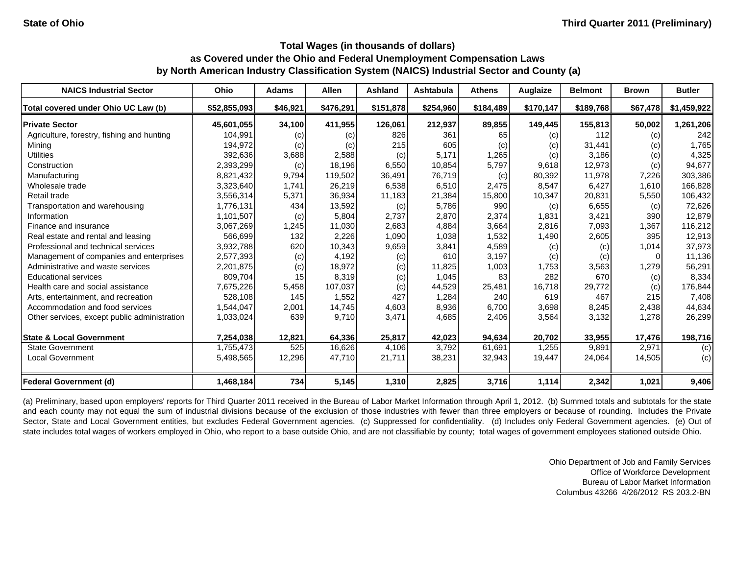| <b>NAICS Industrial Sector</b>               | Ohio         | <b>Adams</b> | <b>Allen</b> | <b>Ashland</b> | <b>Ashtabula</b> | <b>Athens</b> | Auglaize  | <b>Belmont</b> | <b>Brown</b> | <b>Butler</b> |
|----------------------------------------------|--------------|--------------|--------------|----------------|------------------|---------------|-----------|----------------|--------------|---------------|
| Total covered under Ohio UC Law (b)          | \$52,855,093 | \$46,921     | \$476,291    | \$151,878      | \$254,960        | \$184,489     | \$170,147 | \$189,768      | \$67,478     | \$1,459,922   |
| <b>Private Sector</b>                        | 45,601,055   | 34,100       | 411,955      | 126,061        | 212,937          | 89,855        | 149,445   | 155,813        | 50,002       | 1,261,206     |
| Agriculture, forestry, fishing and hunting   | 104,991      | (c)          | (c)          | 826            | 361              | 65            | (c)       | 112            | (c)          | 242           |
| Mining                                       | 194,972      | (c)          | (c)          | 215            | 605              | (c)           | (c)       | 31,441         | (c)          | 1,765         |
| Utilities                                    | 392,636      | 3,688        | 2,588        | (c)            | 5.171            | 1,265         | (c)       | 3,186          | (c)          | 4,325         |
| Construction                                 | 2,393,299    | (c)          | 18,196       | 6,550          | 10.854           | 5,797         | 9,618     | 12,973         | (c)          | 94,677        |
| Manufacturing                                | 8,821,432    | 9,794        | 119,502      | 36,491         | 76,719           | (c)           | 80,392    | 11,978         | 7,226        | 303,386       |
| Wholesale trade                              | 3,323,640    | 1,741        | 26,219       | 6,538          | 6,510            | 2,475         | 8,547     | 6,427          | 1,610        | 166,828       |
| Retail trade                                 | 3,556,314    | 5,371        | 36,934       | 11,183         | 21,384           | 15,800        | 10,347    | 20,831         | 5,550        | 106,432       |
| Transportation and warehousing               | 1,776,131    | 434          | 13,592       | (c)            | 5,786            | 990           | (c)       | 6,655          | (c)          | 72,626        |
| Information                                  | 1,101,507    | (c)          | 5,804        | 2,737          | 2,870            | 2,374         | 1,831     | 3,421          | 390          | 12,879        |
| Finance and insurance                        | 3,067,269    | 1,245        | 11,030       | 2,683          | 4,884            | 3,664         | 2,816     | 7,093          | 1,367        | 116,212       |
| Real estate and rental and leasing           | 566,699      | 132          | 2,226        | 1,090          | 1,038            | 1,532         | 1,490     | 2,605          | 395          | 12,913        |
| Professional and technical services          | 3,932,788    | 620          | 10,343       | 9,659          | 3,841            | 4,589         | (c)       | (c)            | 1,014        | 37,973        |
| Management of companies and enterprises      | 2,577,393    | (c)          | 4,192        | (c)            | 610              | 3,197         | (c)       | (c)            |              | 11,136        |
| Administrative and waste services            | 2,201,875    | (c)          | 18,972       | (c)            | 11,825           | 1,003         | 1,753     | 3,563          | 1,279        | 56,291        |
| <b>Educational services</b>                  | 809,704      | 15           | 8,319        | (c)            | 1,045            | 83            | 282       | 670            | (c)          | 8,334         |
| Health care and social assistance            | 7,675,226    | 5,458        | 107,037      | (c)            | 44,529           | 25,481        | 16,718    | 29,772         | (c)          | 176,844       |
| Arts, entertainment, and recreation          | 528,108      | 145          | 1,552        | 427            | 1,284            | 240           | 619       | 467            | 215          | 7,408         |
| Accommodation and food services              | 1,544,047    | 2,001        | 14,745       | 4,603          | 8,936            | 6,700         | 3,698     | 8,245          | 2,438        | 44,634        |
| Other services, except public administration | 1,033,024    | 639          | 9,710        | 3,471          | 4,685            | 2,406         | 3,564     | 3,132          | 1,278        | 26,299        |
| <b>State &amp; Local Government</b>          | 7,254,038    | 12,821       | 64,336       | 25,817         | 42,023           | 94,634        | 20,702    | 33,955         | 17,476       | 198,716       |
| <b>State Government</b>                      | 1,755,473    | 525          | 16,626       | 4,106          | 3,792            | 61,691        | 1,255     | 9,891          | 2,971        | (c)           |
| <b>Local Government</b>                      | 5,498,565    | 12,296       | 47,710       | 21,711         | 38,231           | 32,943        | 19,447    | 24,064         | 14,505       | (c)           |
| <b>Federal Government (d)</b>                | 1,468,184    | 734          | 5,145        | 1,310          | 2,825            | 3,716         | 1,114     | 2,342          | 1,021        | 9,406         |

(a) Preliminary, based upon employers' reports for Third Quarter 2011 received in the Bureau of Labor Market Information through April 1, 2012. (b) Summed totals and subtotals for the state and each county may not equal the sum of industrial divisions because of the exclusion of those industries with fewer than three employers or because of rounding. Includes the Private Sector, State and Local Government entities, but excludes Federal Government agencies. (c) Suppressed for confidentiality. (d) Includes only Federal Government agencies. (e) Out of state includes total wages of workers employed in Ohio, who report to a base outside Ohio, and are not classifiable by county; total wages of government employees stationed outside Ohio.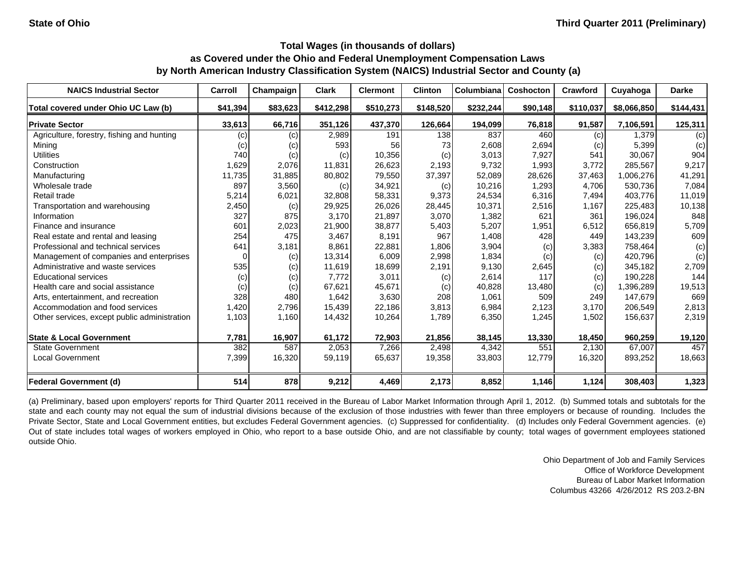| <b>NAICS Industrial Sector</b>               | Carroll  | Champaign | <b>Clark</b> | <b>Clermont</b> | <b>Clinton</b> | Columbiana | Coshocton | <b>Crawford</b> | Cuyahoga    | <b>Darke</b> |
|----------------------------------------------|----------|-----------|--------------|-----------------|----------------|------------|-----------|-----------------|-------------|--------------|
| Total covered under Ohio UC Law (b)          | \$41,394 | \$83,623  | \$412,298    | \$510,273       | \$148,520      | \$232,244  | \$90,148  | \$110,037       | \$8,066,850 | \$144,431    |
| <b>Private Sector</b>                        | 33,613   | 66,716    | 351,126      | 437,370         | 126,664        | 194,099    | 76,818    | 91,587          | 7,106,591   | 125,311      |
| Agriculture, forestry, fishing and hunting   | (c)      | (c)       | 2,989        | 191             | 138            | 837        | 460       | (c)             | 1.379       | (c)          |
| Mining                                       | (c)      | (c)       | 593          | 56              | 73             | 2,608      | 2,694     | (c)             | 5,399       | (c)          |
| <b>Utilities</b>                             | 740      | (c)       | (c)          | 10,356          | (c)            | 3,013      | 7,927     | 541             | 30,067      | 904          |
| Construction                                 | 1,629    | 2,076     | 11,831       | 26,623          | 2,193          | 9,732      | 1,993     | 3,772           | 285.567     | 9,217        |
| Manufacturing                                | 11,735   | 31,885    | 80,802       | 79,550          | 37,397         | 52,089     | 28,626    | 37,463          | 1,006,276   | 41,291       |
| Wholesale trade                              | 897      | 3,560     | (c)          | 34,921          | (c)            | 10,216     | 1,293     | 4,706           | 530,736     | 7,084        |
| Retail trade                                 | 5,214    | 6,021     | 32,808       | 58,331          | 9,373          | 24,534     | 6,316     | 7,494           | 403,776     | 11,019       |
| Transportation and warehousing               | 2,450    | (c)       | 29,925       | 26,026          | 28,445         | 10,371     | 2,516     | 1,167           | 225,483     | 10,138       |
| Information                                  | 327      | 875       | 3.170        | 21,897          | 3,070          | 1,382      | 621       | 361             | 196,024     | 848          |
| Finance and insurance                        | 601      | 2,023     | 21,900       | 38,877          | 5,403          | 5,207      | 1,951     | 6,512           | 656,819     | 5,709        |
| Real estate and rental and leasing           | 254      | 475       | 3,467        | 8,191           | 967            | 1,408      | 428       | 449             | 143,239     | 609          |
| Professional and technical services          | 641      | 3,181     | 8,861        | 22,881          | 1,806          | 3,904      | (c)       | 3,383           | 758,464     | (c)          |
| Management of companies and enterprises      | 0        | (c)       | 13,314       | 6,009           | 2,998          | 1,834      | (c)       | (c)             | 420,796     | (c)          |
| Administrative and waste services            | 535      | (c)       | 11,619       | 18,699          | 2,191          | 9,130      | 2,645     | (c)             | 345,182     | 2,709        |
| <b>Educational services</b>                  | (c)      | (c)       | 7,772        | 3,011           | (c)            | 2,614      | 117       | (c)             | 190,228     | 144          |
| Health care and social assistance            | (c)      | (c)       | 67,621       | 45,671          | (c)            | 40,828     | 13,480    | (c)             | 1,396,289   | 19,513       |
| Arts, entertainment, and recreation          | 328      | 480       | 1,642        | 3,630           | 208            | 1,061      | 509       | 249             | 147,679     | 669          |
| Accommodation and food services              | 1,420    | 2,796     | 15,439       | 22,186          | 3,813          | 6,984      | 2,123     | 3,170           | 206,549     | 2,813        |
| Other services, except public administration | 1,103    | 1,160     | 14,432       | 10,264          | 1,789          | 6,350      | 1,245     | 1,502           | 156,637     | 2,319        |
| <b>State &amp; Local Government</b>          | 7,781    | 16,907    | 61,172       | 72,903          | 21,856         | 38,145     | 13,330    | 18,450          | 960,259     | 19,120       |
| <b>State Government</b>                      | 382      | 587       | 2,053        | 7,266           | 2,498          | 4,342      | 551       | 2,130           | 67,007      | 457          |
| <b>Local Government</b>                      | 7,399    | 16,320    | 59,119       | 65,637          | 19,358         | 33,803     | 12,779    | 16,320          | 893,252     | 18,663       |
| <b>Federal Government (d)</b>                | 514      | 878       | 9,212        | 4,469           | 2,173          | 8,852      | 1,146     | 1,124           | 308,403     | 1,323        |

(a) Preliminary, based upon employers' reports for Third Quarter 2011 received in the Bureau of Labor Market Information through April 1, 2012. (b) Summed totals and subtotals for the state and each county may not equal the sum of industrial divisions because of the exclusion of those industries with fewer than three employers or because of rounding. Includes the Private Sector, State and Local Government entities, but excludes Federal Government agencies. (c) Suppressed for confidentiality. (d) Includes only Federal Government agencies. (e) Out of state includes total wages of workers employed in Ohio, who report to <sup>a</sup> base outside Ohio, and are not classifiable by county; total wages of government employees stationed outside Ohio.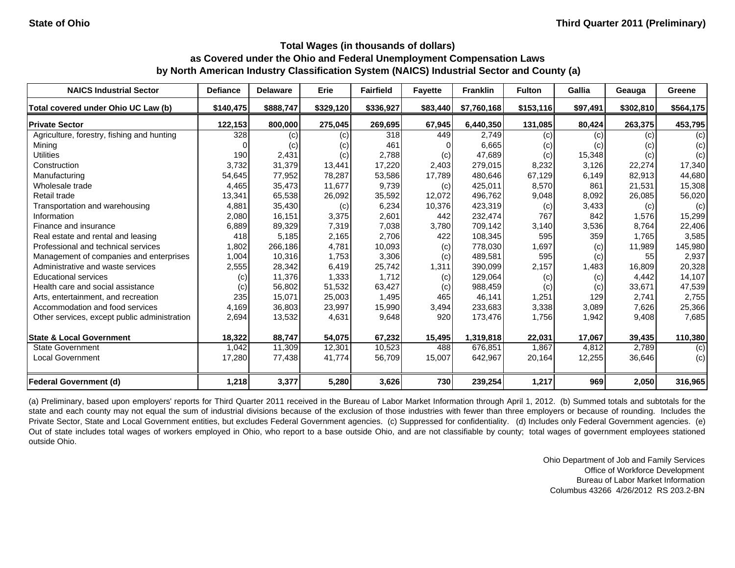| <b>NAICS Industrial Sector</b>               | <b>Defiance</b> | <b>Delaware</b> | Erie      | <b>Fairfield</b> | <b>Fayette</b> | <b>Franklin</b> | <b>Fulton</b> | Gallia   | Geauga    | Greene    |
|----------------------------------------------|-----------------|-----------------|-----------|------------------|----------------|-----------------|---------------|----------|-----------|-----------|
| Total covered under Ohio UC Law (b)          | \$140,475       | \$888,747       | \$329,120 | \$336,927        | \$83,440       | \$7,760,168     | \$153,116     | \$97,491 | \$302,810 | \$564,175 |
| <b>Private Sector</b>                        | 122,153         | 800,000         | 275,045   | 269,695          | 67,945         | 6,440,350       | 131.085       | 80,424   | 263,375   | 453,795   |
| Agriculture, forestry, fishing and hunting   | 328             | (c)             | (c)       | 318              | 449            | 2,749           | (c)           | (c)      | (c)       | (c)       |
| Mining                                       |                 | (c)             | (c)       | 461              |                | 6,665           | (c)           | (c)      | (c)       | (c)       |
| <b>Utilities</b>                             | 190             | 2,431           | (c)       | 2,788            | (c)            | 47,689          | (c)           | 15,348   | (c)       | (c)       |
| Construction                                 | 3,732           | 31,379          | 13,441    | 17,220           | 2,403          | 279,015         | 8,232         | 3,126    | 22,274    | 17,340    |
| Manufacturing                                | 54,645          | 77,952          | 78,287    | 53,586           | 17,789         | 480,646         | 67,129        | 6,149    | 82,913    | 44,680    |
| Wholesale trade                              | 4,465           | 35,473          | 11,677    | 9,739            | (c)            | 425,011         | 8,570         | 861      | 21,531    | 15,308    |
| Retail trade                                 | 13,341          | 65,538          | 26,092    | 35,592           | 12,072         | 496,762         | 9,048         | 8,092    | 26,085    | 56,020    |
| Transportation and warehousing               | 4,881           | 35,430          | (c)       | 6,234            | 10,376         | 423,319         | (c)           | 3,433    | (c)       | (c)       |
| Information                                  | 2,080           | 16,151          | 3,375     | 2,601            | 442            | 232,474         | 767           | 842      | 1,576     | 15,299    |
| Finance and insurance                        | 6,889           | 89,329          | 7,319     | 7,038            | 3,780          | 709,142         | 3,140         | 3,536    | 8,764     | 22,406    |
| Real estate and rental and leasing           | 418             | 5,185           | 2,165     | 2,706            | 422            | 108,345         | 595           | 359      | 1.765     | 3,585     |
| Professional and technical services          | 1,802           | 266,186         | 4,781     | 10,093           | (c)            | 778,030         | 1,697         | (c)      | 11,989    | 145,980   |
| Management of companies and enterprises      | 1,004           | 10,316          | 1,753     | 3,306            | (c)            | 489,581         | 595           | (c)      | 55        | 2,937     |
| Administrative and waste services            | 2,555           | 28,342          | 6,419     | 25,742           | 1,311          | 390,099         | 2,157         | 1,483    | 16.809    | 20,328    |
| <b>Educational services</b>                  | (c)             | 11,376          | 1,333     | 1,712            | (c)            | 129,064         | (c)           | (c)      | 4,442     | 14,107    |
| Health care and social assistance            | (c)             | 56,802          | 51,532    | 63,427           | (c)            | 988,459         | (c)           | (c)      | 33,671    | 47,539    |
| Arts, entertainment, and recreation          | 235             | 15,071          | 25,003    | 1,495            | 465            | 46,141          | 1,251         | 129      | 2,741     | 2,755     |
| Accommodation and food services              | 4,169           | 36,803          | 23,997    | 15,990           | 3,494          | 233,683         | 3,338         | 3,089    | 7,626     | 25,366    |
| Other services, except public administration | 2,694           | 13,532          | 4,631     | 9,648            | 920            | 173,476         | 1,756         | 1,942    | 9,408     | 7,685     |
| <b>State &amp; Local Government</b>          | 18,322          | 88,747          | 54,075    | 67,232           | 15,495         | 1,319,818       | 22,031        | 17,067   | 39,435    | 110,380   |
| <b>State Government</b>                      | 1,042           | 11,309          | 12,301    | 10,523           | 488            | 676,851         | 1,867         | 4,812    | 2,789     | (c)       |
| <b>Local Government</b>                      | 17,280          | 77,438          | 41,774    | 56,709           | 15,007         | 642,967         | 20,164        | 12,255   | 36,646    | (c)       |
| <b>Federal Government (d)</b>                | 1,218           | 3,377           | 5,280     | 3,626            | 730            | 239,254         | 1,217         | 969      | 2,050     | 316,965   |

(a) Preliminary, based upon employers' reports for Third Quarter 2011 received in the Bureau of Labor Market Information through April 1, 2012. (b) Summed totals and subtotals for the state and each county may not equal the sum of industrial divisions because of the exclusion of those industries with fewer than three employers or because of rounding. Includes the Private Sector, State and Local Government entities, but excludes Federal Government agencies. (c) Suppressed for confidentiality. (d) Includes only Federal Government agencies. (e) Out of state includes total wages of workers employed in Ohio, who report to <sup>a</sup> base outside Ohio, and are not classifiable by county; total wages of government employees stationed outside Ohio.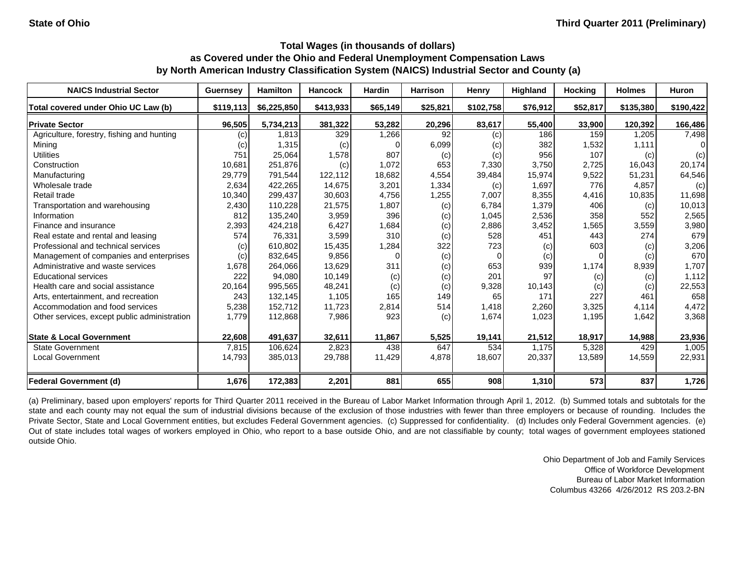| <b>NAICS Industrial Sector</b>               | <b>Guernsey</b>   | <b>Hamilton</b> | <b>Hancock</b> | <b>Hardin</b> | <b>Harrison</b> | Henry                      | Highland | <b>Hocking</b> | <b>Holmes</b> | <b>Huron</b> |
|----------------------------------------------|-------------------|-----------------|----------------|---------------|-----------------|----------------------------|----------|----------------|---------------|--------------|
| Total covered under Ohio UC Law (b)          | \$119,113         | \$6,225,850     | \$413,933      | \$65,149      | \$25,821        | \$102,758                  | \$76,912 | \$52,817       | \$135,380     | \$190,422    |
| <b>Private Sector</b>                        | 96,505            | 5,734,213       | 381,322        | 53,282        | 20,296          | 83,617                     | 55,400   | 33,900         | 120,392       | 166,486      |
| Agriculture, forestry, fishing and hunting   | (c)               | 1.813           | 329            | 1,266         | 92              | (c)                        | 186      | 159            | 1,205         | 7,498        |
| Mining                                       | $\left( c\right)$ | 1,315           | (c)            |               | 6,099           | (C)                        | 382      | 1,532          | 1,111         | 0            |
| <b>Utilities</b>                             | 751               | 25,064          | 1,578          | 807           | (c)             | $\left( \mathrm{c}\right)$ | 956      | 107            | (c)           | (c)          |
| Construction                                 | 10,681            | 251,876         | (c)            | 1,072         | 653             | 7,330                      | 3,750    | 2,725          | 16,043        | 20,174       |
| Manufacturing                                | 29,779            | 791,544         | 122,112        | 18,682        | 4,554           | 39,484                     | 15,974   | 9,522          | 51,231        | 64,546       |
| Wholesale trade                              | 2,634             | 422,265         | 14,675         | 3,201         | 1,334           | (c)                        | 1,697    | 776            | 4,857         | (c)          |
| Retail trade                                 | 10,340            | 299,437         | 30,603         | 4,756         | 1,255           | 7,007                      | 8,355    | 4,416          | 10,835        | 11,698       |
| Transportation and warehousing               | 2,430             | 110,228         | 21,575         | 1,807         | (c)             | 6,784                      | 1,379    | 406            | (c)           | 10,013       |
| Information                                  | 812               | 135,240         | 3,959          | 396           | (c)             | 1,045                      | 2,536    | 358            | 552           | 2,565        |
| Finance and insurance                        | 2,393             | 424,218         | 6,427          | 1,684         | (c)             | 2,886                      | 3,452    | 1,565          | 3,559         | 3,980        |
| Real estate and rental and leasing           | 574               | 76,331          | 3,599          | 310           | (c)             | 528                        | 451      | 443            | 274           | 679          |
| Professional and technical services          | (c)               | 610.802         | 15,435         | 1,284         | 322             | 723                        | (c)      | 603            | (c)           | 3,206        |
| Management of companies and enterprises      | (c)               | 832,645         | 9,856          |               | (c)             |                            | (c)      | $\Omega$       | (c)           | 670          |
| Administrative and waste services            | 1,678             | 264,066         | 13,629         | 311           | (c)             | 653                        | 939      | 1,174          | 8,939         | 1,707        |
| <b>Educational services</b>                  | 222               | 94,080          | 10,149         | (c)           | (c)             | 201                        | 97       | (c)            | (c)           | 1,112        |
| Health care and social assistance            | 20,164            | 995,565         | 48,241         | (c)           | (c)             | 9,328                      | 10,143   | (c)            | (c)           | 22,553       |
| Arts, entertainment, and recreation          | 243               | 132,145         | 1,105          | 165           | 149             | 65                         | 171      | 227            | 461           | 658          |
| Accommodation and food services              | 5,238             | 152,712         | 11,723         | 2,814         | 514             | 1,418                      | 2,260    | 3,325          | 4,114         | 4,472        |
| Other services, except public administration | 1,779             | 112,868         | 7,986          | 923           | (c)             | 1,674                      | 1,023    | 1,195          | 1,642         | 3,368        |
| <b>State &amp; Local Government</b>          | 22,608            | 491,637         | 32,611         | 11,867        | 5,525           | 19,141                     | 21,512   | 18,917         | 14,988        | 23,936       |
| <b>State Government</b>                      | 7,815             | 106,624         | 2,823          | 438           | 647             | 534                        | 1,175    | 5,328          | 429           | 1,005        |
| <b>Local Government</b>                      | 14,793            | 385,013         | 29,788         | 11,429        | 4,878           | 18,607                     | 20,337   | 13,589         | 14,559        | 22,931       |
| <b>Federal Government (d)</b>                | 1,676             | 172,383         | 2,201          | 881           | 655             | 908                        | 1,310    | 573            | 837           | 1,726        |

(a) Preliminary, based upon employers' reports for Third Quarter 2011 received in the Bureau of Labor Market Information through April 1, 2012. (b) Summed totals and subtotals for the state and each county may not equal the sum of industrial divisions because of the exclusion of those industries with fewer than three employers or because of rounding. Includes the Private Sector, State and Local Government entities, but excludes Federal Government agencies. (c) Suppressed for confidentiality. (d) Includes only Federal Government agencies. (e) Out of state includes total wages of workers employed in Ohio, who report to <sup>a</sup> base outside Ohio, and are not classifiable by county; total wages of government employees stationed outside Ohio.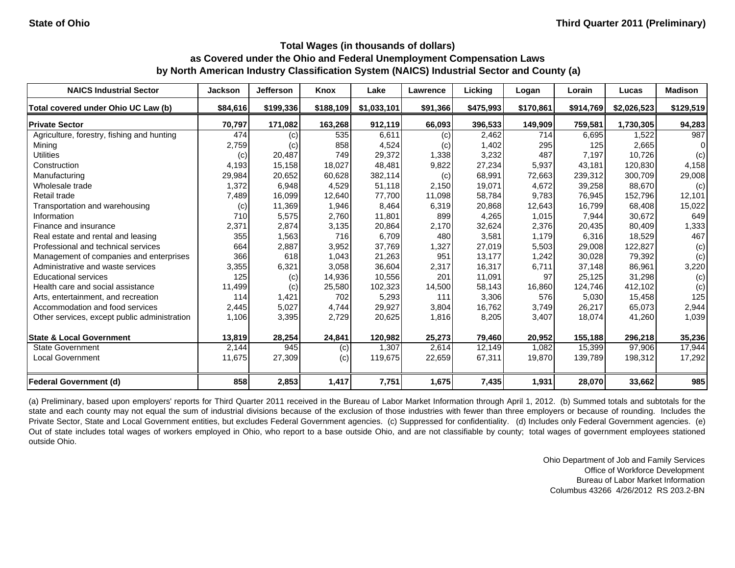| <b>NAICS Industrial Sector</b>               | <b>Jackson</b> | <b>Jefferson</b> | <b>Knox</b> | Lake        | Lawrence | Licking   | Logan     | Lorain    | Lucas       | <b>Madison</b> |
|----------------------------------------------|----------------|------------------|-------------|-------------|----------|-----------|-----------|-----------|-------------|----------------|
| Total covered under Ohio UC Law (b)          | \$84,616       | \$199,336        | \$188,109   | \$1,033,101 | \$91,366 | \$475,993 | \$170,861 | \$914,769 | \$2,026,523 | \$129,519      |
| <b>Private Sector</b>                        | 70,797         | 171,082          | 163,268     | 912,119     | 66,093   | 396,533   | 149,909   | 759,581   | 1,730,305   | 94,283         |
| Agriculture, forestry, fishing and hunting   | 474            | (c)              | 535         | 6,611       | (c)      | 2,462     | 714       | 6,695     | 1,522       | 987            |
| Mining                                       | 2,759          | (c)              | 858         | 4,524       | (c)      | 1,402     | 295       | 125       | 2,665       | $\Omega$       |
| <b>Utilities</b>                             | (c)            | 20,487           | 749         | 29,372      | 1,338    | 3,232     | 487       | 7,197     | 10,726      | (c)            |
| Construction                                 | 4,193          | 15.158           | 18,027      | 48.481      | 9,822    | 27,234    | 5,937     | 43.181    | 120.830     | 4,158          |
| Manufacturing                                | 29,984         | 20,652           | 60,628      | 382,114     | (c)      | 68,991    | 72,663    | 239,312   | 300,709     | 29,008         |
| Wholesale trade                              | 1,372          | 6,948            | 4,529       | 51,118      | 2,150    | 19,071    | 4,672     | 39,258    | 88,670      | (c)            |
| Retail trade                                 | 7,489          | 16,099           | 12,640      | 77,700      | 11,098   | 58,784    | 9,783     | 76,945    | 152,796     | 12,101         |
| Transportation and warehousing               | (c)            | 11,369           | 1,946       | 8,464       | 6,319    | 20,868    | 12,643    | 16,799    | 68,408      | 15,022         |
| Information                                  | 710            | 5,575            | 2,760       | 11,801      | 899      | 4,265     | 1,015     | 7,944     | 30,672      | 649            |
| Finance and insurance                        | 2,371          | 2,874            | 3,135       | 20,864      | 2,170    | 32,624    | 2,376     | 20,435    | 80,409      | 1,333          |
| Real estate and rental and leasing           | 355            | 1,563            | 716         | 6,709       | 480      | 3,581     | 1,179     | 6,316     | 18,529      | 467            |
| Professional and technical services          | 664            | 2,887            | 3,952       | 37,769      | 1,327    | 27,019    | 5,503     | 29,008    | 122,827     | (c)            |
| Management of companies and enterprises      | 366            | 618              | 1,043       | 21,263      | 951      | 13,177    | 1,242     | 30,028    | 79,392      | (c)            |
| Administrative and waste services            | 3,355          | 6,321            | 3,058       | 36,604      | 2,317    | 16,317    | 6,711     | 37,148    | 86,961      | 3,220          |
| <b>Educational services</b>                  | 125            | (c)              | 14,936      | 10,556      | 201      | 11,091    | 97        | 25,125    | 31,298      | (c)            |
| Health care and social assistance            | 11,499         | (c)              | 25,580      | 102,323     | 14,500   | 58,143    | 16,860    | 124,746   | 412,102     | (c)            |
| Arts, entertainment, and recreation          | 114            | 1,421            | 702         | 5,293       | 111      | 3,306     | 576       | 5,030     | 15,458      | 125            |
| Accommodation and food services              | 2,445          | 5,027            | 4,744       | 29,927      | 3,804    | 16,762    | 3,749     | 26,217    | 65,073      | 2,944          |
| Other services, except public administration | 1,106          | 3,395            | 2,729       | 20,625      | 1,816    | 8,205     | 3,407     | 18,074    | 41,260      | 1,039          |
| <b>State &amp; Local Government</b>          | 13,819         | 28,254           | 24,841      | 120,982     | 25,273   | 79,460    | 20,952    | 155,188   | 296,218     | 35,236         |
| <b>State Government</b>                      | 2,144          | 945              | (c)         | 1,307       | 2,614    | 12,149    | 1,082     | 15,399    | 97,906      | 17,944         |
| <b>Local Government</b>                      | 11,675         | 27,309           | (c)         | 119,675     | 22,659   | 67,311    | 19,870    | 139,789   | 198,312     | 17,292         |
| <b>Federal Government (d)</b>                | 858            | 2,853            | 1,417       | 7,751       | 1,675    | 7,435     | 1,931     | 28,070    | 33,662      | 985            |

(a) Preliminary, based upon employers' reports for Third Quarter 2011 received in the Bureau of Labor Market Information through April 1, 2012. (b) Summed totals and subtotals for the state and each county may not equal the sum of industrial divisions because of the exclusion of those industries with fewer than three employers or because of rounding. Includes the Private Sector, State and Local Government entities, but excludes Federal Government agencies. (c) Suppressed for confidentiality. (d) Includes only Federal Government agencies. (e) Out of state includes total wages of workers employed in Ohio, who report to <sup>a</sup> base outside Ohio, and are not classifiable by county; total wages of government employees stationed outside Ohio.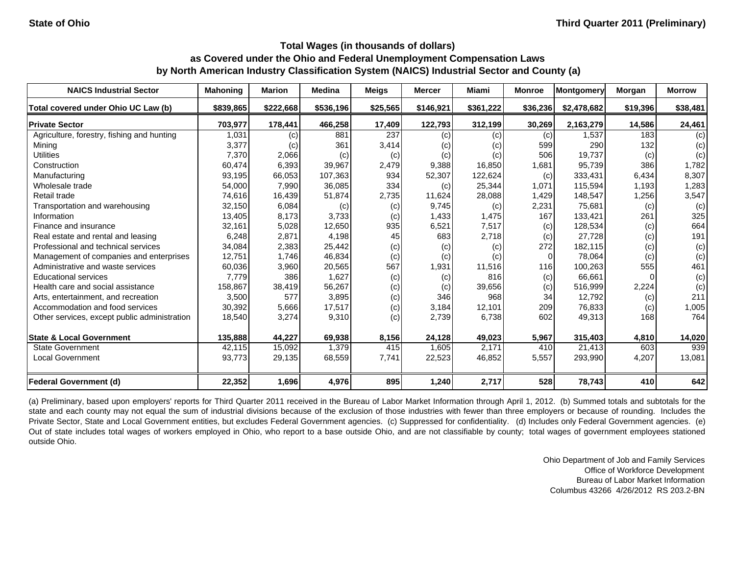| <b>NAICS Industrial Sector</b>               | <b>Mahoning</b> | <b>Marion</b> | <b>Medina</b> | <b>Meigs</b> | <b>Mercer</b> | Miami             | <b>Monroe</b> | Montgomery  | Morgan   | <b>Morrow</b> |
|----------------------------------------------|-----------------|---------------|---------------|--------------|---------------|-------------------|---------------|-------------|----------|---------------|
| Total covered under Ohio UC Law (b)          | \$839,865       | \$222,668     | \$536,196     | \$25,565     | \$146,921     | \$361,222         | \$36,236      | \$2,478,682 | \$19,396 | \$38,481      |
| <b>Private Sector</b>                        | 703,977         | 178,441       | 466,258       | 17,409       | 122,793       | 312,199           | 30,269        | 2,163,279   | 14,586   | 24,461        |
| Agriculture, forestry, fishing and hunting   | 1,031           | (c)           | 881           | 237          | (c)           | $\left( c\right)$ | (c)           | 1,537       | 183      | (c)           |
| Mining                                       | 3,377           | (c)           | 361           | 3,414        | (c)           | (C)               | 599           | 290         | 132      | (c)           |
| <b>Utilities</b>                             | 7,370           | 2,066         | (c)           | (c)          | (c)           | $\left( c\right)$ | 506           | 19,737      | (c)      | (c)           |
| Construction                                 | 60,474          | 6,393         | 39,967        | 2,479        | 9,388         | 16,850            | 1,681         | 95,739      | 386      | 1,782         |
| Manufacturing                                | 93,195          | 66,053        | 107,363       | 934          | 52,307        | 122,624           | (c)           | 333,431     | 6,434    | 8,307         |
| Wholesale trade                              | 54,000          | 7,990         | 36,085        | 334          | (c)           | 25,344            | 1,071         | 115,594     | 1,193    | 1,283         |
| Retail trade                                 | 74,616          | 16,439        | 51,874        | 2,735        | 11,624        | 28,088            | 1,429         | 148,547     | 1,256    | 3,547         |
| Transportation and warehousing               | 32,150          | 6,084         | (c)           | (c)          | 9,745         | (c)               | 2,231         | 75,681      | (c)      | (c)           |
| Information                                  | 13,405          | 8,173         | 3,733         | (c)          | 1,433         | 1,475             | 167           | 133,421     | 261      | 325           |
| Finance and insurance                        | 32,161          | 5,028         | 12,650        | 935          | 6,521         | 7,517             | (c)           | 128,534     | (c)      | 664           |
| Real estate and rental and leasing           | 6,248           | 2,871         | 4,198         | 45           | 683           | 2,718             | (c)           | 27,728      | (c)      | 191           |
| Professional and technical services          | 34,084          | 2,383         | 25,442        | (c)          | (c)           | (c)               | 272           | 182,115     | (c)      | (c)           |
| Management of companies and enterprises      | 12,751          | 1,746         | 46,834        | (c)          | (c)           | (c)               | 0             | 78,064      | (c)      | (c)           |
| Administrative and waste services            | 60,036          | 3,960         | 20,565        | 567          | 1,931         | 11,516            | 116           | 100,263     | 555      | 461           |
| <b>Educational services</b>                  | 7,779           | 386           | 1,627         | (c)          | (c)           | 816               | (c)           | 66,661      |          | (c)           |
| Health care and social assistance            | 158,867         | 38,419        | 56,267        | (c)          | (c)           | 39,656            | (c)           | 516,999     | 2,224    | (c)           |
| Arts, entertainment, and recreation          | 3,500           | 577           | 3,895         | (c)          | 346           | 968               | 34            | 12,792      | (c)      | 211           |
| Accommodation and food services              | 30,392          | 5,666         | 17,517        | (c)          | 3,184         | 12,101            | 209           | 76,833      | (c)      | 1,005         |
| Other services, except public administration | 18,540          | 3,274         | 9,310         | (c)          | 2,739         | 6,738             | 602           | 49,313      | 168      | 764           |
| <b>State &amp; Local Government</b>          | 135,888         | 44,227        | 69,938        | 8,156        | 24,128        | 49,023            | 5,967         | 315,403     | 4,810    | 14,020        |
| <b>State Government</b>                      | 42,115          | 15,092        | 1,379         | 415          | 1,605         | 2,171             | 410           | 21,413      | 603      | 939           |
| <b>Local Government</b>                      | 93,773          | 29,135        | 68,559        | 7,741        | 22,523        | 46,852            | 5,557         | 293,990     | 4,207    | 13,081        |
| <b>Federal Government (d)</b>                | 22,352          | 1,696         | 4,976         | 895          | 1,240         | 2,717             | 528           | 78,743      | 410      | 642           |

(a) Preliminary, based upon employers' reports for Third Quarter 2011 received in the Bureau of Labor Market Information through April 1, 2012. (b) Summed totals and subtotals for the state and each county may not equal the sum of industrial divisions because of the exclusion of those industries with fewer than three employers or because of rounding. Includes the Private Sector, State and Local Government entities, but excludes Federal Government agencies. (c) Suppressed for confidentiality. (d) Includes only Federal Government agencies. (e) Out of state includes total wages of workers employed in Ohio, who report to <sup>a</sup> base outside Ohio, and are not classifiable by county; total wages of government employees stationed outside Ohio.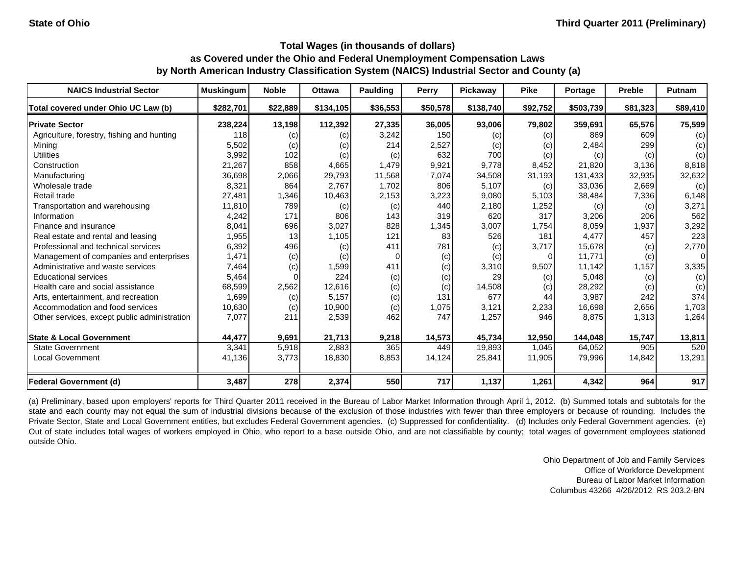| <b>NAICS Industrial Sector</b>               | <b>Muskingum</b> | <b>Noble</b>    | <b>Ottawa</b> | Paulding | Perry    | <b>Pickaway</b> | <b>Pike</b> | Portage   | Preble   | <b>Putnam</b>  |
|----------------------------------------------|------------------|-----------------|---------------|----------|----------|-----------------|-------------|-----------|----------|----------------|
| Total covered under Ohio UC Law (b)          | \$282,701        | \$22,889        | \$134,105     | \$36,553 | \$50,578 | \$138,740       | \$92,752    | \$503,739 | \$81,323 | \$89,410       |
| <b>Private Sector</b>                        | 238,224          | 13,198          | 112,392       | 27,335   | 36,005   | 93,006          | 79,802      | 359,691   | 65,576   | 75,599         |
| Agriculture, forestry, fishing and hunting   | 118              | (c)             | (c)           | 3,242    | 150      | (C)             | (c)         | 869       | 609      | (c)            |
| Mining                                       | 5,502            | (c)             | (c)           | 214      | 2,527    | (C)             | (c)         | 2,484     | 299      | (c)            |
| <b>Utilities</b>                             | 3,992            | 102             | (c)           | (c)      | 632      | 700             | (c)         | (c)       | (c)      | (c)            |
| Construction                                 | 21,267           | 858             | 4,665         | 1,479    | 9,921    | 9.778           | 8,452       | 21,820    | 3,136    | 8,818          |
| Manufacturing                                | 36,698           | 2,066           | 29,793        | 11,568   | 7,074    | 34,508          | 31,193      | 131,433   | 32,935   | 32,632         |
| Wholesale trade                              | 8,321            | 864             | 2,767         | 1,702    | 806      | 5,107           | (c)         | 33,036    | 2,669    | (c)            |
| Retail trade                                 | 27,481           | 1,346           | 10,463        | 2,153    | 3,223    | 9,080           | 5,103       | 38,484    | 7,336    | 6,148          |
| Transportation and warehousing               | 11,810           | 789             | (c)           | (c)      | 440      | 2,180           | 1,252       | (c)       | (c)      | 3,271          |
| Information                                  | 4,242            | 171             | 806           | 143      | 319      | 620             | 317         | 3,206     | 206      | 562            |
| Finance and insurance                        | 8,041            | 696             | 3,027         | 828      | 1,345    | 3,007           | 1,754       | 8,059     | 1,937    | 3,292          |
| Real estate and rental and leasing           | 1,955            | 13 <sup>1</sup> | 1,105         | 121      | 83       | 526             | 181         | 4.477     | 457      | 223            |
| Professional and technical services          | 6,392            | 496             | (c)           | 411      | 781      | (c)             | 3,717       | 15,678    | (c)      | 2,770          |
| Management of companies and enterprises      | 1,471            | (c)             | (c)           |          | (c)      | (c)             | 0           | 11,771    | (c)      | $\overline{0}$ |
| Administrative and waste services            | 7,464            | (c)             | 1,599         | 411      | (c)      | 3,310           | 9,507       | 11,142    | 1,157    | 3,335          |
| <b>Educational services</b>                  | 5,464            | $\Omega$        | 224           | (c)      | (c)      | 29              | (c)         | 5,048     | (c)      | (c)            |
| Health care and social assistance            | 68,599           | 2,562           | 12,616        | (c)      | (c)      | 14,508          | (c)         | 28,292    | (c)      | (c)            |
| Arts, entertainment, and recreation          | 1,699            | (c)             | 5,157         | (c)      | 131      | 677             | 44          | 3,987     | 242      | 374            |
| Accommodation and food services              | 10,630           | (c)             | 10,900        | (c)      | 1,075    | 3,121           | 2,233       | 16,698    | 2,656    | 1,703          |
| Other services, except public administration | 7,077            | 211             | 2,539         | 462      | 747      | 1,257           | 946         | 8,875     | 1,313    | 1,264          |
| <b>State &amp; Local Government</b>          | 44,477           | 9,691           | 21,713        | 9,218    | 14,573   | 45,734          | 12,950      | 144,048   | 15,747   | 13,811         |
| <b>State Government</b>                      | 3,341            | 5,918           | 2,883         | 365      | 449      | 19,893          | 1,045       | 64,052    | 905      | 520            |
| <b>Local Government</b>                      | 41,136           | 3,773           | 18,830        | 8,853    | 14,124   | 25,841          | 11,905      | 79,996    | 14,842   | 13,291         |
| <b>Federal Government (d)</b>                | 3,487            | 278             | 2,374         | 550      | 717      | 1,137           | 1,261       | 4,342     | 964      | 917            |

(a) Preliminary, based upon employers' reports for Third Quarter 2011 received in the Bureau of Labor Market Information through April 1, 2012. (b) Summed totals and subtotals for the state and each county may not equal the sum of industrial divisions because of the exclusion of those industries with fewer than three employers or because of rounding. Includes the Private Sector, State and Local Government entities, but excludes Federal Government agencies. (c) Suppressed for confidentiality. (d) Includes only Federal Government agencies. (e) Out of state includes total wages of workers employed in Ohio, who report to <sup>a</sup> base outside Ohio, and are not classifiable by county; total wages of government employees stationed outside Ohio.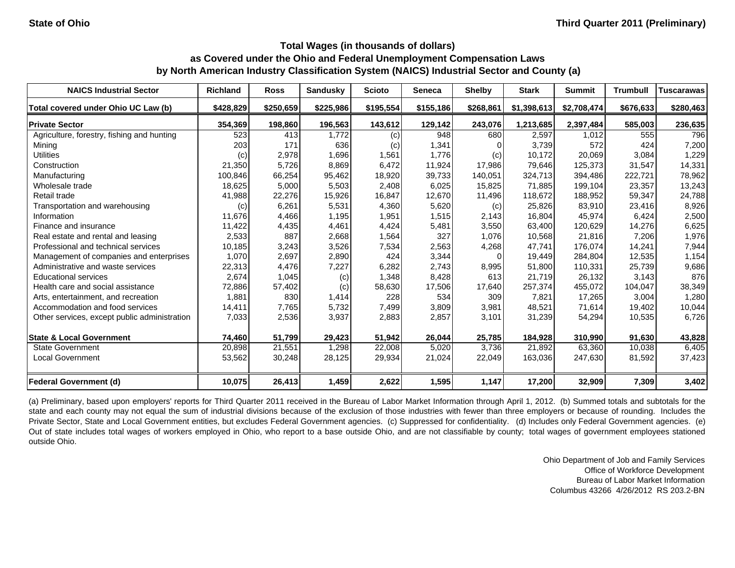| <b>NAICS Industrial Sector</b>               | <b>Richland</b> | <b>Ross</b> | <b>Sandusky</b> | <b>Scioto</b> | <b>Seneca</b> | <b>Shelby</b> | <b>Stark</b> | <b>Summit</b> | <b>Trumbull</b> | <b>Tuscarawas</b> |
|----------------------------------------------|-----------------|-------------|-----------------|---------------|---------------|---------------|--------------|---------------|-----------------|-------------------|
| Total covered under Ohio UC Law (b)          | \$428,829       | \$250,659   | \$225,986       | \$195,554     | \$155,186     | \$268,861     | \$1,398,613  | \$2,708,474   | \$676,633       | \$280,463         |
| <b>Private Sector</b>                        | 354.369         | 198,860     | 196,563         | 143,612       | 129,142       | 243,076       | 1,213,685    | 2,397,484     | 585,003         | 236,635           |
| Agriculture, forestry, fishing and hunting   | 523             | 413         | 1,772           | (c)           | 948           | 680           | 2,597        | 1,012         | 555             | 796               |
| Mining                                       | 203             | 171         | 636             | (c)           | 1,341         |               | 3,739        | 572           | 424             | 7,200             |
| <b>Utilities</b>                             | (c)             | 2,978       | 1,696           | 1,561         | 1,776         | (c)           | 10,172       | 20,069        | 3,084           | 1,229             |
| Construction                                 | 21,350          | 5,726       | 8,869           | 6.472         | 11,924        | 17,986        | 79.646       | 125.373       | 31.547          | 14,331            |
| Manufacturing                                | 100,846         | 66,254      | 95,462          | 18,920        | 39,733        | 140,051       | 324,713      | 394,486       | 222,721         | 78,962            |
| Wholesale trade                              | 18,625          | 5,000       | 5,503           | 2,408         | 6,025         | 15,825        | 71,885       | 199,104       | 23,357          | 13,243            |
| Retail trade                                 | 41,988          | 22,276      | 15,926          | 16,847        | 12,670        | 11,496        | 118,672      | 188,952       | 59,347          | 24,788            |
| Transportation and warehousing               | (c)             | 6,261       | 5,531           | 4,360         | 5,620         | (c)           | 25,826       | 83,910        | 23,416          | 8,926             |
| Information                                  | 11,676          | 4,466       | 1,195           | 1,951         | 1,515         | 2,143         | 16,804       | 45,974        | 6,424           | 2,500             |
| Finance and insurance                        | 11,422          | 4,435       | 4,461           | 4,424         | 5,481         | 3,550         | 63,400       | 120,629       | 14,276          | 6,625             |
| Real estate and rental and leasing           | 2,533           | 887         | 2,668           | 1,564         | 327           | 1,076         | 10,568       | 21,816        | 7,206           | 1,976             |
| Professional and technical services          | 10,185          | 3,243       | 3,526           | 7,534         | 2,563         | 4,268         | 47,741       | 176.074       | 14,241          | 7,944             |
| Management of companies and enterprises      | 1,070           | 2,697       | 2,890           | 424           | 3,344         | n             | 19,449       | 284,804       | 12,535          | 1,154             |
| Administrative and waste services            | 22,313          | 4,476       | 7,227           | 6,282         | 2,743         | 8,995         | 51,800       | 110.331       | 25,739          | 9,686             |
| <b>Educational services</b>                  | 2,674           | 1,045       | (c)             | 1,348         | 8,428         | 613           | 21,719       | 26,132        | 3,143           | 876               |
| Health care and social assistance            | 72,886          | 57,402      | (c)             | 58,630        | 17,506        | 17,640        | 257,374      | 455,072       | 104,047         | 38,349            |
| Arts, entertainment, and recreation          | 1,881           | 830         | 1,414           | 228           | 534           | 309           | 7,821        | 17,265        | 3,004           | 1,280             |
| Accommodation and food services              | 14,411          | 7,765       | 5,732           | 7,499         | 3,809         | 3,981         | 48,521       | 71,614        | 19,402          | 10,044            |
| Other services, except public administration | 7,033           | 2,536       | 3,937           | 2,883         | 2,857         | 3,101         | 31,239       | 54,294        | 10,535          | 6,726             |
| <b>State &amp; Local Government</b>          | 74,460          | 51,799      | 29,423          | 51,942        | 26,044        | 25,785        | 184,928      | 310,990       | 91,630          | 43,828            |
| <b>State Government</b>                      | 20,898          | 21,551      | 1,298           | 22,008        | 5,020         | 3,736         | 21,892       | 63,360        | 10,038          | 6,405             |
| <b>Local Government</b>                      | 53,562          | 30,248      | 28,125          | 29,934        | 21,024        | 22,049        | 163,036      | 247,630       | 81,592          | 37,423            |
| Federal Government (d)                       | 10,075          | 26,413      | 1,459           | 2,622         | 1,595         | 1,147         | 17,200       | 32,909        | 7,309           | 3,402             |

(a) Preliminary, based upon employers' reports for Third Quarter 2011 received in the Bureau of Labor Market Information through April 1, 2012. (b) Summed totals and subtotals for the state and each county may not equal the sum of industrial divisions because of the exclusion of those industries with fewer than three employers or because of rounding. Includes the Private Sector, State and Local Government entities, but excludes Federal Government agencies. (c) Suppressed for confidentiality. (d) Includes only Federal Government agencies. (e) Out of state includes total wages of workers employed in Ohio, who report to <sup>a</sup> base outside Ohio, and are not classifiable by county; total wages of government employees stationed outside Ohio.